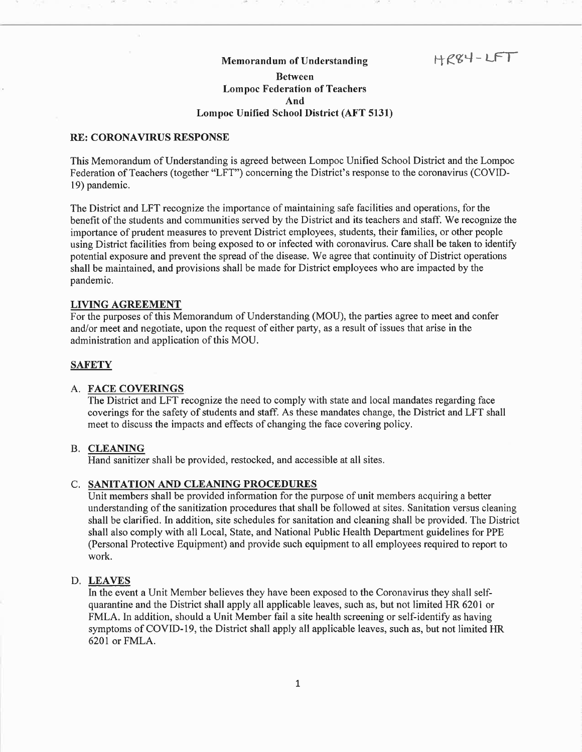## Memorandum of Understanding

 $HKK + LFT$ 

# Between Lompoc Federation of Teachers And Lompoc UnÍfied School District (AFT 5131)

#### RE: CORONAVIRUS RESPONSE

This Memorandum of Understanding is agreed between Lompoc Unified School District and the Lompoc Federation of Teachers (together "LFT") concerning the District's response to the coronavirus (COVID-19) pandemic,

The District and LFT recognize the importance of maintaining safe facilities and operations, for the benefit of the students and communities served by the District and its teachers and staff. We recognize the importance of prudent measures to prevent District employees, students, their families, or other people using District facilities from being exposed to or infected with coronavirus. Care shall be taken to identify potential exposure and prevent the spread of the disease. We agree that continuity of District operations shall be maintained, and provisions shall be made for District employees who are impacted by the pandemic.

## LIVING AGREEMENT

For the purposes of this Memorandum of Understanding (MOU), the parties agree to meet and confer and/or meet and negotiate, upon the request of either party, as a result of issues that arise in the administration and application of this MOU.

# **SAFETY**

#### A. FACE COVERINGS

The District and LFT recognize the need to comply with state and local mandates regarding face coverings for the safety of students and staff. As these mandates change, the District and LFT shall meet to discuss the impacts and effects of changing the face covering policy.

#### B. CLEANING

Hand sanitizer shall be provided, restocked, and accessible at all sites.

#### C. SANITATION AND CLEANING PROCEDURES

Unit members shall be provided information for the purpose of unit members acquiring a better understanding of the sanitization procedures that shall be followed at sites. Sanitation versus cleaning shall be clarified. In addition, site schedules for sanitation and cleaning shall be provided. The District shall also comply with all Local, State, and National Public Health Department guidelines for PPE (Personal Protective Equipment) and provide such equipment to all employees required to report to work.

## D, LEAVES

In the event a Unit Member believes they have been exposed to the Coronavirus they shall selfquarantine and the District shall apply all applicable leaves, such as, but not limited HR 6201 or FMLA. In addition, should a Unit Member fail a site health screening or self-identify as having symptoms of COVID-19, the District shall apply all applicable leaves, such as, but not limited HR 6201or FMLA.